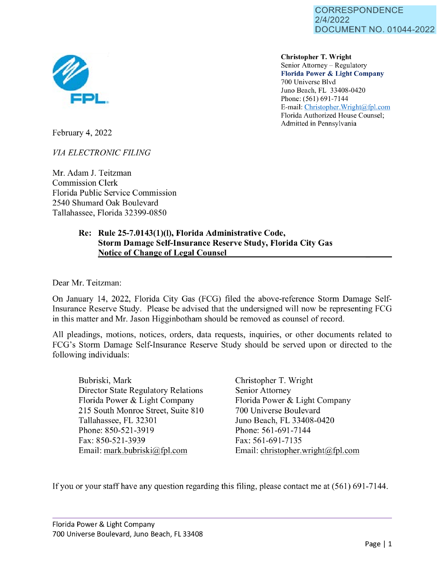

**Christopher T. Wright**  Senior Attorney – Regulatory **Florida Power** & **Light Company**  700 Universe Blvd Juno Beach, FL 33408-0420 Phone: (561) 691-7144 E-mail: [Christopher.Wright@fpl.com](mailto:Christopher.Wright@fpl.com)  Florida Authorized House Counsel; Admitted in Pennsylvania

February 4, 2022

*VIA ELECTRONIC FILING* 

Mr. Adam J. Teitzman Commission Clerk Florida Public Service Commission 2540 Shumard Oak Boulevard Tallahassee, Florida 32399-0850

## **Re: Rule 25-7.0143(1)(1), Florida Administrative Code, Storm Damage Self-Insurance Reserve Study, Florida City Gas Notice of Change of Legal Counsel**

Dear Mr. Teitzman:

On January 14, 2022, Florida City Gas (FCG) filed the above-reference Storm Damage Self-Insurance Reserve Study. Please be advised that the undersigned will now be representing FCG in this matter and Mr. Jason Higginbotham should be removed as counsel of record.

All pleadings, motions, notices, orders, data requests, inquiries, or other documents related to FCG's Storm Damage Self-Insurance Reserve Study should be served upon or directed to the following individuals:

Bubriski, Mark Director State Regulatory Relations Florida Power & Light Company 215 South Monroe Street, Suite 810 Tallahassee, FL 32301 Phone: 850-521-3919 Fax: 850-521-3939 Email: mark.bubriski@fpl.com

Christopher T. Wright Senior Attorney Florida Power & Light Company 700 Universe Boulevard Juno Beach, FL 33408-0420 Phone: 561-691-7144 Fax: 561-691-7135 Email: christopher.wright@fpl.com

If you or your staff have any question regarding this filing, please contact me at (561) 691-7144.